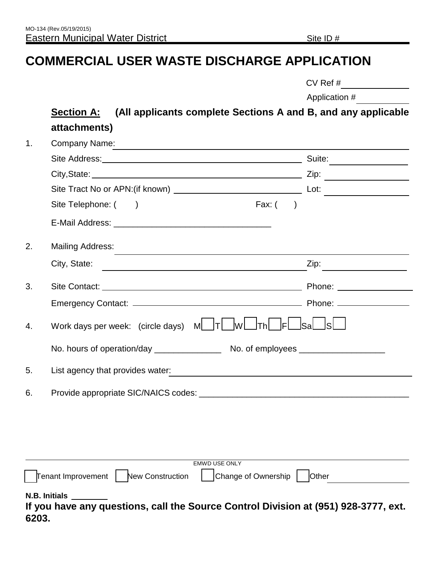# **COMMERCIAL USER WASTE DISCHARGE APPLICATION**

|  | $CV$ Ref # |
|--|------------|
|--|------------|

Application #

# **Section A: (All applicants complete Sections A and B, and any applicable attachments)**

<span id="page-0-0"></span>

| 1. | Company Name:                                                                                        |                                 |
|----|------------------------------------------------------------------------------------------------------|---------------------------------|
|    |                                                                                                      | Suite:                          |
|    |                                                                                                      | Zip:                            |
|    |                                                                                                      |                                 |
|    | Site Telephone: ()<br>Fax: $($ )                                                                     |                                 |
|    |                                                                                                      |                                 |
| 2. | <b>Mailing Address:</b>                                                                              |                                 |
|    | City, State:<br><u> 1980 - Johann Stoff, fransk politik (d. 1980)</u>                                | Zip:                            |
| 3. |                                                                                                      | Phone: <u>_________________</u> |
|    |                                                                                                      |                                 |
| 4. | Work days per week: (circle days) $M$ $T$<br>$W$ $Th$ $F$                                            | <u> Sal</u>                     |
|    |                                                                                                      |                                 |
| 5. | List agency that provides water:                                                                     |                                 |
| 6. |                                                                                                      |                                 |
|    |                                                                                                      |                                 |
|    |                                                                                                      |                                 |
|    |                                                                                                      |                                 |
|    | <b>EMWD USE ONLY</b><br><b>Tenant Improvement</b><br>Change of Ownership<br>New Construction         | Other                           |
|    |                                                                                                      |                                 |
|    | N.B. Initials<br>If you have any questions, call the Source Control Division at (951) 928-3777, ext. |                                 |

**If you have any questions, call the Source Control Division at (951) 928-3777, ext. 6203.**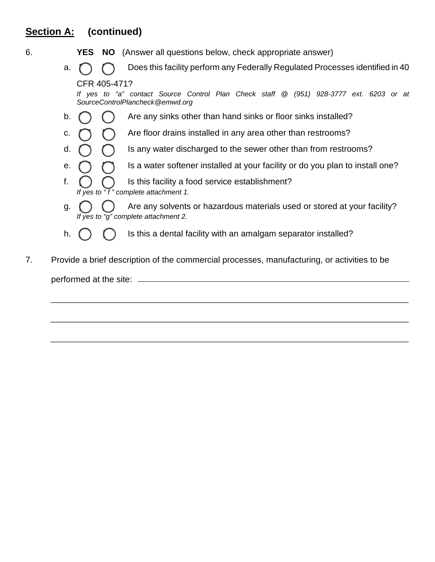### **Section A: (continued)**

- 6. **YES NO** (Answer all questions below, check appropriate answer)
	- a.  $\bigcap_{n=1}^{\infty}$  Does this facility perform any Federally Regulated Processes identified in 40 CFR 405-471?

*If yes to "a" contact Source Control Plan Check staff @ (951) 928-3777 ext. 6203 or at SourceControlPlancheck@emwd.org*

- b.  $\bigcap$   $\bigcap$  Are any sinks other than hand sinks or floor sinks installed?
- c.  $\bigcap_{i=1}^{\infty}$  Are floor drains installed in any area other than restrooms?
- d.  $\bigcap$   $\bigcap$  is any water discharged to the sewer other than from restrooms?
- e.  $\bigcap_{i=1}^{\infty}$  Is a water softener installed at your facility or do you plan to install one?
- f.  $\bigcap$   $\bigcap$  is this facility a food service establishment? *If yes to " f " complete attachment 1.*
- g.  $\bigcap_{i=1}^{\infty}$  Are any solvents or hazardous materials used or stored at your facility?  *If yes to "g" complete attachment 2.*
- h.  $\binom{1}{1}$   $\binom{2}{1}$  Is this a dental facility with an amalgam separator installed?
- 7. Provide a brief description of the commercial processes, manufacturing, or activities to be performed at the site: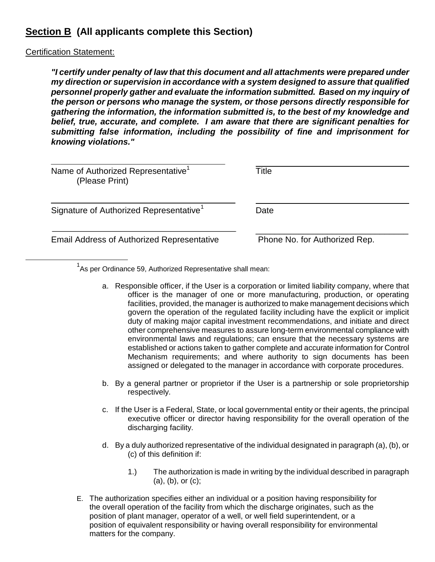### **Section B (All applicants complete this Section)**

#### Certification Statement:

Ĩ.

*"I certify under penalty of law that this document and all attachments were prepared under my direction or supervision in accordance with a system designed to assure that qualified personnel properly gather and evaluate the information submitted. Based on my inquiry of the person or persons who manage the system, or those persons directly responsible for gathering the information, the information submitted is, to the best of my knowledge and belief, true, accurate, and complete. I am aware that there are significant penalties for submitting false information, including the possibility of fine and imprisonment for knowing violations."*

| Name of Authorized Representative <sup>1</sup><br>(Please Print) | Title                         |
|------------------------------------------------------------------|-------------------------------|
| Signature of Authorized Representative <sup>1</sup>              | Date                          |
| <b>Email Address of Authorized Representative</b>                | Phone No. for Authorized Rep. |

 $1$ As per Ordinance 59, Authorized Representative shall mean:

- a. Responsible officer, if the User is a corporation or limited liability company, where that officer is the manager of one or more manufacturing, production, or operating facilities, provided, the manager is authorized to make management decisions which govern the operation of the regulated facility including have the explicit or implicit duty of making major capital investment recommendations, and initiate and direct other comprehensive measures to assure long-term environmental compliance with environmental laws and regulations; can ensure that the necessary systems are established or actions taken to gather complete and accurate information for Control Mechanism requirements; and where authority to sign documents has been assigned or delegated to the manager in accordance with corporate procedures.
- b. By a general partner or proprietor if the User is a partnership or sole proprietorship respectively.
- c. If the User is a Federal, State, or local governmental entity or their agents, the principal executive officer or director having responsibility for the overall operation of the discharging facility.
- d. By a duly authorized representative of the individual designated in paragraph (a), (b), or (c) of this definition if:
	- 1.) The authorization is made in writing by the individual described in paragraph (a), (b), or (c);
- <span id="page-2-0"></span>E. The authorization specifies either an individual or a position having responsibility for the overall operation of the facility from which the discharge originates, such as the position of plant manager, operator of a well, or well field superintendent, or a position of equivalent responsibility or having overall responsibility for environmental matters for the company.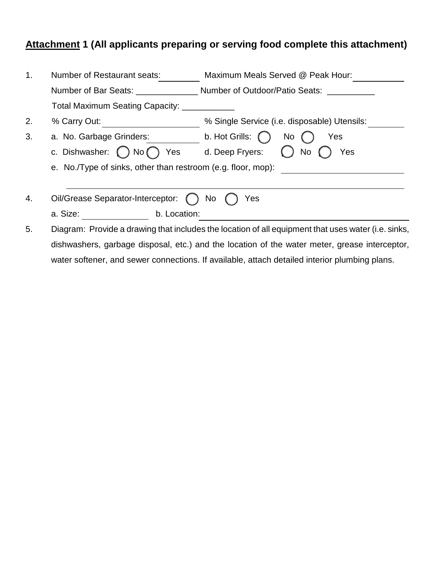## **Attachment 1 (All applicants preparing or serving food complete this attachment)**

| 1. | <b>Number of Restaurant seats:</b>                           | Maximum Meals Served @ Peak Hour:                                                                   |
|----|--------------------------------------------------------------|-----------------------------------------------------------------------------------------------------|
|    | Number of Bar Seats:                                         | Number of Outdoor/Patio Seats:                                                                      |
|    | Total Maximum Seating Capacity:                              |                                                                                                     |
| 2. | % Carry Out:                                                 | % Single Service (i.e. disposable) Utensils:                                                        |
| 3. | a. No. Garbage Grinders:                                     | b. Hot Grills: $\binom{7}{2}$<br>No<br>Yes                                                          |
|    | c. Dishwasher: () No (<br>Yes                                | d. Deep Fryers:<br>Yes<br>No.                                                                       |
|    | e. No./Type of sinks, other than restroom (e.g. floor, mop): |                                                                                                     |
|    |                                                              |                                                                                                     |
| 4. | Oil/Grease Separator-Interceptor: () No                      | Yes                                                                                                 |
|    | a. Size:<br>b. Location:                                     |                                                                                                     |
| 5. |                                                              | Diagram: Provide a drawing that includes the location of all equipment that uses water (i.e. sinks, |
|    |                                                              | dishwashers, garbage disposal, etc.) and the location of the water meter, grease interceptor,       |

water softener, and sewer connections. If available, attach detailed interior plumbing plans.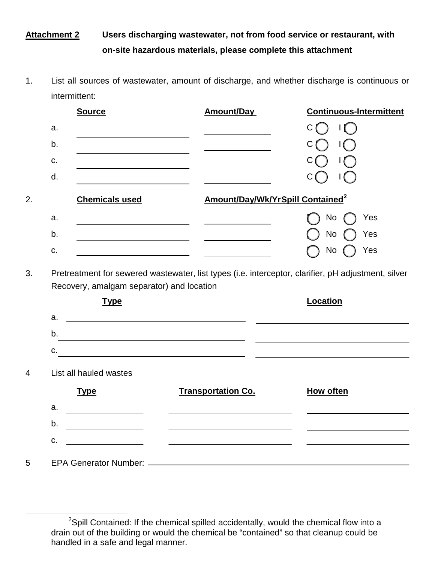### **Attachment 2 Users discharging wastewater, not from food service or restaurant, with on-site hazardous materials, please complete this attachment**

1. List all sources of wastewater, amount of discharge, and whether discharge is continuous or intermittent:

| <b>Source</b>          |                                                                                                                      | <b>Amount/Day</b>                                                                                                    | <b>Continuous-Intermittent</b> |
|------------------------|----------------------------------------------------------------------------------------------------------------------|----------------------------------------------------------------------------------------------------------------------|--------------------------------|
| a.                     |                                                                                                                      |                                                                                                                      | $\mathbf{I}$<br>С              |
| b.                     |                                                                                                                      |                                                                                                                      | $\Box$                         |
| C.                     | <u> 1989 - Johann Barn, mars ann an t-Amhain ann an t-A</u>                                                          |                                                                                                                      |                                |
| d.                     |                                                                                                                      |                                                                                                                      |                                |
|                        | <b>Chemicals used</b>                                                                                                | Amount/Day/Wk/YrSpill Contained <sup>2</sup>                                                                         |                                |
| a.                     | the control of the control of the control of the control of the control of                                           |                                                                                                                      | No<br>Yes                      |
| b.                     |                                                                                                                      |                                                                                                                      | <b>No</b><br>Yes               |
|                        |                                                                                                                      |                                                                                                                      |                                |
| C.                     | <u> 1989 - Johann Barbara, martxa a</u><br>Recovery, amalgam separator) and location<br><b>Type</b>                  | Pretreatment for sewered wastewater, list types (i.e. interceptor, clarifier, pH adjustment, silver                  | Yes<br><b>No</b><br>Location   |
| a.                     |                                                                                                                      |                                                                                                                      |                                |
|                        |                                                                                                                      | <u> Alexandro de la contrada de la contrada de la contrada de la contrada de la contrada de la contrada de la co</u> |                                |
| C.                     |                                                                                                                      | <u> 1989 - Johann Barn, mars et al. (b. 1989)</u>                                                                    |                                |
| List all hauled wastes |                                                                                                                      |                                                                                                                      |                                |
| <b>Type</b>            |                                                                                                                      | <b>Transportation Co.</b>                                                                                            | <b>How often</b>               |
| a.                     |                                                                                                                      |                                                                                                                      |                                |
| b.                     | <u> 1990 - Johann Barbara, politik eta politik eta politik eta politik eta politik eta politik eta politik eta p</u> | <u> 1980 - Johann Barn, fransk politik fotograf (d. 1980)</u>                                                        |                                |

ī

 $2$ Spill Contained: If the chemical spilled accidentally, would the chemical flow into a drain out of the building or would the chemical be "contained" so that cleanup could be handled in a safe and legal manner.